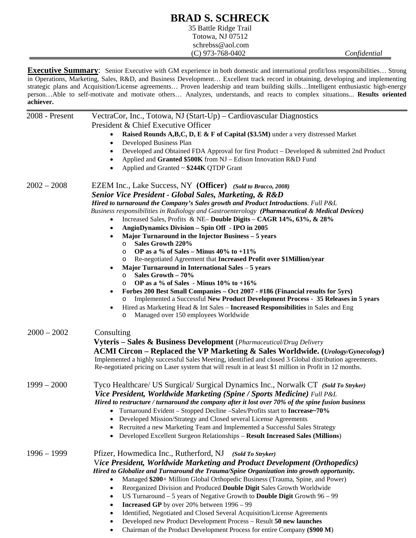## **BRAD S. SCHRECK**

35 Battle Ridge Trail Totowa, NJ 07512 schrebss@aol.com (C) 973-768-0402 *Confidential* 

**Executive Summary**: Senior Executive with GM experience in both domestic and international profit/loss responsibilities… Strong in Operations, Marketing, Sales, R&D, and Business Development… Excellent track record in obtaining, developing and implementing strategic plans and Acquisition/License agreements… Proven leadership and team building skills…Intelligent enthusiastic high-energy person…Able to self-motivate and motivate others… Analyzes, understands, and reacts to complex situations... **Results oriented achiever.**

| 2008 - Present | VectraCor, Inc., Totowa, NJ (Start-Up) – Cardiovascular Diagnostics                                                                  |
|----------------|--------------------------------------------------------------------------------------------------------------------------------------|
|                | President & Chief Executive Officer<br>Raised Rounds A,B,C, D, E & F of Capital (\$3.5M) under a very distressed Market<br>$\bullet$ |
|                | Developed Business Plan<br>$\bullet$                                                                                                 |
|                | Developed and Obtained FDA Approval for first Product – Developed & submitted 2nd Product<br>$\bullet$                               |
|                | Applied and Granted \$500K from NJ - Edison Innovation R&D Fund<br>$\bullet$                                                         |
|                | Applied and Granted ~ \$244K QTDP Grant<br>$\bullet$                                                                                 |
| $2002 - 2008$  | EZEM Inc., Lake Success, NY (Officer) (Sold to Bracco, 2008)                                                                         |
|                | <b>Senior Vice President - Global Sales, Marketing, &amp; R&amp;D</b>                                                                |
|                | Hired to turnaround the Company's Sales growth and Product Introductions. Full P&L                                                   |
|                | Business responsibilities in Radiology and Gastroenterology (Pharmaceutical & Medical Devices)                                       |
|                | Increased Sales, Profits & NE-Double Digits - CAGR 14%, $63\%$ , & $28\%$<br>$\bullet$                                               |
|                | AngioDynamics Division - Spin Off - IPO in 2005<br>$\bullet$                                                                         |
|                | Major Turnaround in the Injector Business – 5 years<br>$\bullet$                                                                     |
|                | Sales Growth 220%<br>$\circ$                                                                                                         |
|                | OP as a % of Sales - Minus $40\%$ to $+11\%$<br>$\circ$                                                                              |
|                | Re-negotiated Agreement that Increased Profit over \$1Million/year<br>$\circ$                                                        |
|                | Major Turnaround in International Sales - 5 years<br>$\bullet$                                                                       |
|                | Sales Growth - 70%<br>$\circ$                                                                                                        |
|                | OP as a % of Sales - Minus $10\%$ to +16%<br>$\circ$                                                                                 |
|                | Forbes 200 Best Small Companies - Oct 2007 - #186 (Financial results for 5yrs)                                                       |
|                | Implemented a Successful New Product Development Process - 35 Releases in 5 years<br>O                                               |
|                | Hired as Marketing Head & Int Sales - Increased Responsibilities in Sales and Eng<br>٠<br>Managed over 150 employees Worldwide<br>O  |
| $2000 - 2002$  | Consulting                                                                                                                           |
|                |                                                                                                                                      |
|                | <b>Vyteris – Sales &amp; Business Development</b> (Pharmaceutical/Drug Delivery                                                      |
|                | ACMI Circon – Replaced the VP Marketing & Sales Worldwide. (Urology/Gynecology)                                                      |
|                | Implemented a highly successful Sales Meeting, identified and closed 3 Global distribution agreements.                               |
|                | Re-negotiated pricing on Laser system that will result in at least \$1 million in Profit in 12 months.                               |
| $1999 - 2000$  | Tyco Healthcare/ US Surgical/ Surgical Dynamics Inc., Norwalk CT (Sold To Stryker)                                                   |
|                | Vice President, Worldwide Marketing (Spine / Sports Medicine) Full P&L                                                               |
|                | Hired to restructure / turnaround the company after it lost over 70% of the spine fusion business                                    |
|                | • Turnaround Evident – Stopped Decline – Sales/Profits start to Increase~70%                                                         |
|                | Developed Mission/Strategy and Closed several License Agreements                                                                     |
|                | Recruited a new Marketing Team and Implemented a Successful Sales Strategy                                                           |
|                | Developed Excellent Surgeon Relationships - Result Increased Sales (Millions)<br>$\bullet$                                           |
| $1996 - 1999$  | Pfizer, Howmedica Inc., Rutherford, NJ<br>(Sold To Stryker)                                                                          |
|                | Vice President, Worldwide Marketing and Product Development (Orthopedics)                                                            |
|                | Hired to Globalize and Turnaround the Trauma/Spine Organization into growth opportunity.                                             |
|                | Managed \$200+ Million Global Orthopedic Business (Trauma, Spine, and Power)<br>$\bullet$                                            |
|                | Reorganized Division and Produced Double Digit Sales Growth Worldwide<br>$\bullet$                                                   |
|                | US Turnaround $-5$ years of Negative Growth to <b>Double Digit</b> Growth $96 - 99$<br>$\bullet$                                     |
|                | <b>Increased GP</b> by over 20% between $1996 - 99$<br>$\bullet$                                                                     |
|                | Identified, Negotiated and Closed Several Acquisition/License Agreements<br>$\bullet$                                                |
|                | Developed new Product Development Process - Result 50 new launches<br>$\bullet$                                                      |
|                | Chairman of the Product Development Process for entire Company (\$900 M)<br>$\bullet$                                                |
|                |                                                                                                                                      |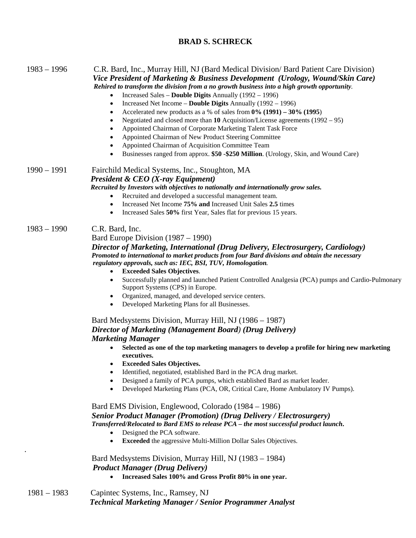## **BRAD S. SCHRECK**

| $1983 - 1996$ | C.R. Bard, Inc., Murray Hill, NJ (Bard Medical Division/ Bard Patient Care Division)<br>Vice President of Marketing & Business Development (Urology, Wound/Skin Care)<br>Rehired to transform the division from a no growth business into a high growth opportunity.<br>Increased Sales - Double Digits Annually (1992 - 1996)<br>$\bullet$<br>Increased Net Income - Double Digits Annually (1992 - 1996)<br>٠<br>Accelerated new products as a % of sales from $0\%$ (1991) – 30% (1995)<br>٠<br>Negotiated and closed more than 10 Acquisition/License agreements $(1992 - 95)$<br>$\bullet$<br>Appointed Chairman of Corporate Marketing Talent Task Force<br>$\bullet$<br>Appointed Chairman of New Product Steering Committee<br>$\bullet$<br>Appointed Chairman of Acquisition Committee Team<br>$\bullet$<br>Businesses ranged from approx. \$50 -\$250 Million. (Urology, Skin, and Wound Care)<br>$\bullet$                                                                                                                                                                                                                                                                                                                                                                                                                                                                                                                                                                                                                                                                                                                                                                                                                           |
|---------------|-------------------------------------------------------------------------------------------------------------------------------------------------------------------------------------------------------------------------------------------------------------------------------------------------------------------------------------------------------------------------------------------------------------------------------------------------------------------------------------------------------------------------------------------------------------------------------------------------------------------------------------------------------------------------------------------------------------------------------------------------------------------------------------------------------------------------------------------------------------------------------------------------------------------------------------------------------------------------------------------------------------------------------------------------------------------------------------------------------------------------------------------------------------------------------------------------------------------------------------------------------------------------------------------------------------------------------------------------------------------------------------------------------------------------------------------------------------------------------------------------------------------------------------------------------------------------------------------------------------------------------------------------------------------------------------------------------------------------------------------------|
| $1990 - 1991$ | Fairchild Medical Systems, Inc., Stoughton, MA<br><b>President &amp; CEO</b> (X-ray Equipment)<br>Recruited by Investors with objectives to nationally and internationally grow sales.<br>Recruited and developed a successful management team.<br>Increased Net Income 75% and Increased Unit Sales 2.5 times<br>$\bullet$<br>Increased Sales 50% first Year, Sales flat for previous 15 years.<br>٠                                                                                                                                                                                                                                                                                                                                                                                                                                                                                                                                                                                                                                                                                                                                                                                                                                                                                                                                                                                                                                                                                                                                                                                                                                                                                                                                           |
| $1983 - 1990$ | C.R. Bard, Inc.<br>Bard Europe Division $(1987 – 1990)$<br>Director of Marketing, International (Drug Delivery, Electrosurgery, Cardiology)<br>Promoted to international to market products from four Bard divisions and obtain the necessary<br>regulatory approvals, such as: IEC, BSI, TUV, Homologation.<br><b>Exceeded Sales Objectives.</b><br>$\bullet$<br>Successfully planned and launched Patient Controlled Analgesia (PCA) pumps and Cardio-Pulmonary<br>$\bullet$<br>Support Systems (CPS) in Europe.<br>Organized, managed, and developed service centers.<br>$\bullet$<br>Developed Marketing Plans for all Businesses.<br>$\bullet$<br>Bard Medsystems Division, Murray Hill, NJ (1986 – 1987)<br>Director of Marketing (Management Board) (Drug Delivery)<br><b>Marketing Manager</b><br>Selected as one of the top marketing managers to develop a profile for hiring new marketing<br>٠<br>executives.<br><b>Exceeded Sales Objectives.</b><br>Identified, negotiated, established Bard in the PCA drug market.<br>$\bullet$<br>Designed a family of PCA pumps, which established Bard as market leader.<br>٠<br>Developed Marketing Plans (PCA, OR, Critical Care, Home Ambulatory IV Pumps).<br>$\bullet$<br>Bard EMS Division, Englewood, Colorado (1984 – 1986)<br><b>Senior Product Manager (Promotion) (Drug Delivery / Electrosurgery)</b><br>Transferred/Relocated to Bard EMS to release PCA - the most successful product launch.<br>Designed the PCA software.<br>$\bullet$<br>Exceeded the aggressive Multi-Million Dollar Sales Objectives.<br>٠<br>Bard Medsystems Division, Murray Hill, NJ (1983 - 1984)<br><b>Product Manager (Drug Delivery)</b><br>Increased Sales 100% and Gross Profit 80% in one year. |
| $1981 - 1983$ | Capintec Systems, Inc., Ramsey, NJ                                                                                                                                                                                                                                                                                                                                                                                                                                                                                                                                                                                                                                                                                                                                                                                                                                                                                                                                                                                                                                                                                                                                                                                                                                                                                                                                                                                                                                                                                                                                                                                                                                                                                                              |

*Technical Marketing Manager / Senior Programmer Analyst*